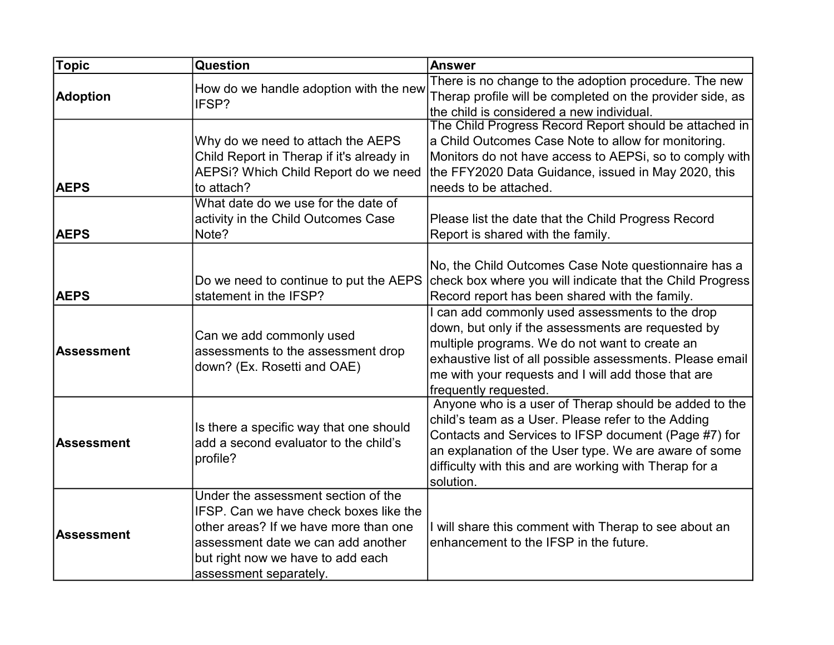| <b>Topic</b>                     | Question                                                                                                                                                                                                                    | <b>Answer</b>                                                                                                                                                                                                                                                                                                                                                                                                                                                               |
|----------------------------------|-----------------------------------------------------------------------------------------------------------------------------------------------------------------------------------------------------------------------------|-----------------------------------------------------------------------------------------------------------------------------------------------------------------------------------------------------------------------------------------------------------------------------------------------------------------------------------------------------------------------------------------------------------------------------------------------------------------------------|
| <b>Adoption</b>                  | How do we handle adoption with the new<br>IFSP?                                                                                                                                                                             | There is no change to the adoption procedure. The new<br>Therap profile will be completed on the provider side, as<br>the child is considered a new individual.                                                                                                                                                                                                                                                                                                             |
| <b>AEPS</b><br><b>AEPS</b>       | Why do we need to attach the AEPS<br>Child Report in Therap if it's already in<br>AEPSi? Which Child Report do we need<br>to attach?<br>What date do we use for the date of<br>activity in the Child Outcomes Case<br>Note? | The Child Progress Record Report should be attached in<br>a Child Outcomes Case Note to allow for monitoring.<br>Monitors do not have access to AEPSi, so to comply with<br>the FFY2020 Data Guidance, issued in May 2020, this<br>needs to be attached.<br>Please list the date that the Child Progress Record<br>Report is shared with the family.                                                                                                                        |
| <b>AEPS</b><br><b>Assessment</b> | Do we need to continue to put the AEPS<br>statement in the IFSP?<br>Can we add commonly used<br>assessments to the assessment drop<br>down? (Ex. Rosetti and OAE)                                                           | No, the Child Outcomes Case Note questionnaire has a<br>check box where you will indicate that the Child Progress<br>Record report has been shared with the family.<br>I can add commonly used assessments to the drop<br>down, but only if the assessments are requested by<br>multiple programs. We do not want to create an<br>exhaustive list of all possible assessments. Please email<br>me with your requests and I will add those that are<br>frequently requested. |
| <b>Assessment</b>                | Is there a specific way that one should<br>add a second evaluator to the child's<br>profile?                                                                                                                                | Anyone who is a user of Therap should be added to the<br>child's team as a User. Please refer to the Adding<br>Contacts and Services to IFSP document (Page #7) for<br>an explanation of the User type. We are aware of some<br>difficulty with this and are working with Therap for a<br>solution.                                                                                                                                                                         |
| <b>Assessment</b>                | Under the assessment section of the<br>IFSP. Can we have check boxes like the<br>other areas? If we have more than one<br>assessment date we can add another<br>but right now we have to add each<br>assessment separately. | I will share this comment with Therap to see about an<br>enhancement to the IFSP in the future.                                                                                                                                                                                                                                                                                                                                                                             |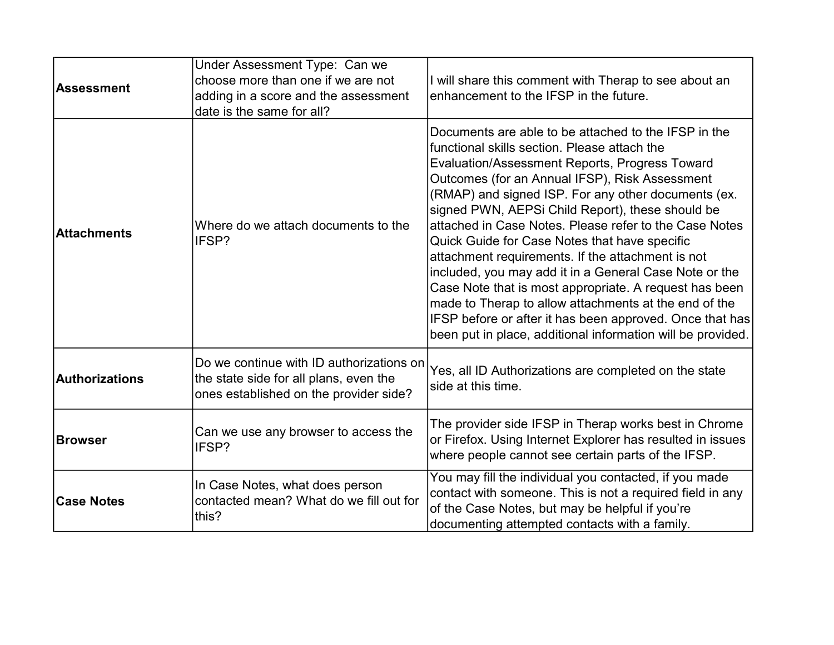| Assessment         | Under Assessment Type: Can we<br>choose more than one if we are not<br>adding in a score and the assessment<br>date is the same for all? | I will share this comment with Therap to see about an<br>enhancement to the IFSP in the future.                                                                                                                                                                                                                                                                                                                                                                                                                                                                                                                                                                                                                                                                                             |
|--------------------|------------------------------------------------------------------------------------------------------------------------------------------|---------------------------------------------------------------------------------------------------------------------------------------------------------------------------------------------------------------------------------------------------------------------------------------------------------------------------------------------------------------------------------------------------------------------------------------------------------------------------------------------------------------------------------------------------------------------------------------------------------------------------------------------------------------------------------------------------------------------------------------------------------------------------------------------|
| <b>Attachments</b> | Where do we attach documents to the<br>IFSP?                                                                                             | Documents are able to be attached to the IFSP in the<br>functional skills section. Please attach the<br>Evaluation/Assessment Reports, Progress Toward<br>Outcomes (for an Annual IFSP), Risk Assessment<br>(RMAP) and signed ISP. For any other documents (ex.<br>signed PWN, AEPSi Child Report), these should be<br>attached in Case Notes. Please refer to the Case Notes<br>Quick Guide for Case Notes that have specific<br>attachment requirements. If the attachment is not<br>included, you may add it in a General Case Note or the<br>Case Note that is most appropriate. A request has been<br>made to Therap to allow attachments at the end of the<br>IFSP before or after it has been approved. Once that has<br>been put in place, additional information will be provided. |
| Authorizations     | Do we continue with ID authorizations on<br>the state side for all plans, even the<br>ones established on the provider side?             | Yes, all ID Authorizations are completed on the state<br>side at this time.                                                                                                                                                                                                                                                                                                                                                                                                                                                                                                                                                                                                                                                                                                                 |
| <b>Browser</b>     | Can we use any browser to access the<br>IFSP?                                                                                            | The provider side IFSP in Therap works best in Chrome<br>or Firefox. Using Internet Explorer has resulted in issues<br>where people cannot see certain parts of the IFSP.                                                                                                                                                                                                                                                                                                                                                                                                                                                                                                                                                                                                                   |
| <b>Case Notes</b>  | In Case Notes, what does person<br>contacted mean? What do we fill out for<br>this?                                                      | You may fill the individual you contacted, if you made<br>contact with someone. This is not a required field in any<br>of the Case Notes, but may be helpful if you're<br>documenting attempted contacts with a family.                                                                                                                                                                                                                                                                                                                                                                                                                                                                                                                                                                     |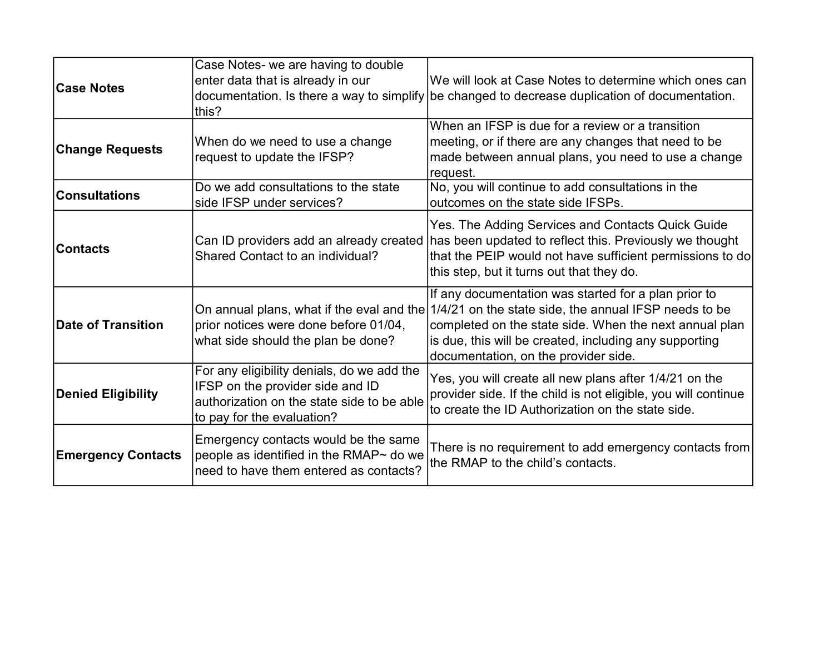| <b>Case Notes</b>         | Case Notes- we are having to double<br>enter data that is already in our<br>this?                                                                          | We will look at Case Notes to determine which ones can<br>documentation. Is there a way to simplify be changed to decrease duplication of documentation.                                                                                                                  |
|---------------------------|------------------------------------------------------------------------------------------------------------------------------------------------------------|---------------------------------------------------------------------------------------------------------------------------------------------------------------------------------------------------------------------------------------------------------------------------|
| <b>Change Requests</b>    | When do we need to use a change<br>request to update the IFSP?                                                                                             | When an IFSP is due for a review or a transition<br>meeting, or if there are any changes that need to be<br>made between annual plans, you need to use a change<br>request.                                                                                               |
| <b>Consultations</b>      | Do we add consultations to the state<br>side IFSP under services?                                                                                          | No, you will continue to add consultations in the<br>outcomes on the state side IFSPs.                                                                                                                                                                                    |
| Contacts                  | Shared Contact to an individual?                                                                                                                           | Yes. The Adding Services and Contacts Quick Guide<br>Can ID providers add an already created has been updated to reflect this. Previously we thought<br>that the PEIP would not have sufficient permissions to do<br>this step, but it turns out that they do.            |
| Date of Transition        | On annual plans, what if the eval and the<br>prior notices were done before 01/04,<br>what side should the plan be done?                                   | If any documentation was started for a plan prior to<br>1/4/21 on the state side, the annual IFSP needs to be<br>completed on the state side. When the next annual plan<br>is due, this will be created, including any supporting<br>documentation, on the provider side. |
| <b>Denied Eligibility</b> | For any eligibility denials, do we add the<br>IFSP on the provider side and ID<br>authorization on the state side to be able<br>to pay for the evaluation? | Yes, you will create all new plans after 1/4/21 on the<br>provider side. If the child is not eligible, you will continue<br>to create the ID Authorization on the state side.                                                                                             |
| <b>Emergency Contacts</b> | Emergency contacts would be the same<br>people as identified in the RMAP~ do we<br>need to have them entered as contacts?                                  | There is no requirement to add emergency contacts from<br>the RMAP to the child's contacts.                                                                                                                                                                               |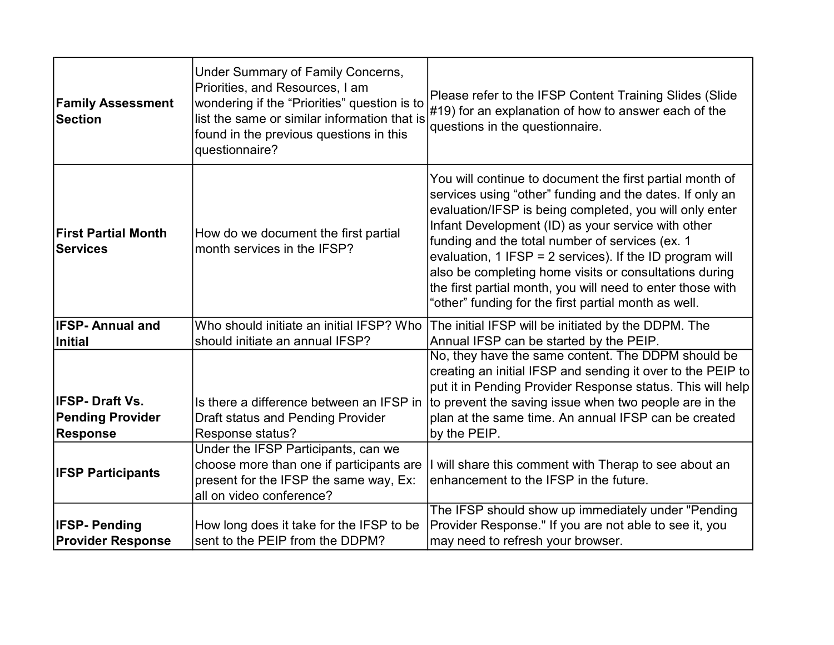| <b>Family Assessment</b><br><b>Section</b>                   | Under Summary of Family Concerns,<br>Priorities, and Resources, I am<br>wondering if the "Priorities" question is to<br>list the same or similar information that is<br>found in the previous questions in this<br>questionnaire? | Please refer to the IFSP Content Training Slides (Slide<br>$\#19$ ) for an explanation of how to answer each of the<br>questions in the questionnaire.                                                                                                                                                                                                                                                                                                                                                                               |
|--------------------------------------------------------------|-----------------------------------------------------------------------------------------------------------------------------------------------------------------------------------------------------------------------------------|--------------------------------------------------------------------------------------------------------------------------------------------------------------------------------------------------------------------------------------------------------------------------------------------------------------------------------------------------------------------------------------------------------------------------------------------------------------------------------------------------------------------------------------|
| <b>First Partial Month</b><br><b>Services</b>                | How do we document the first partial<br>month services in the IFSP?                                                                                                                                                               | You will continue to document the first partial month of<br>services using "other" funding and the dates. If only an<br>evaluation/IFSP is being completed, you will only enter<br>Infant Development (ID) as your service with other<br>funding and the total number of services (ex. 1<br>evaluation, 1 IFSP = 2 services). If the ID program will<br>also be completing home visits or consultations during<br>the first partial month, you will need to enter those with<br>"other" funding for the first partial month as well. |
| <b>IFSP-Annual and</b>                                       | Who should initiate an initial IFSP? Who                                                                                                                                                                                          | The initial IFSP will be initiated by the DDPM. The                                                                                                                                                                                                                                                                                                                                                                                                                                                                                  |
| Initial                                                      | should initiate an annual IFSP?                                                                                                                                                                                                   | Annual IFSP can be started by the PEIP.<br>No, they have the same content. The DDPM should be                                                                                                                                                                                                                                                                                                                                                                                                                                        |
| <b>IFSP-Draft Vs.</b><br><b>Pending Provider</b><br>Response | Is there a difference between an IFSP in<br><b>Draft status and Pending Provider</b><br>Response status?                                                                                                                          | creating an initial IFSP and sending it over to the PEIP to<br>put it in Pending Provider Response status. This will help<br>to prevent the saving issue when two people are in the<br>plan at the same time. An annual IFSP can be created<br>by the PEIP.                                                                                                                                                                                                                                                                          |
| <b>IFSP Participants</b>                                     | Under the IFSP Participants, can we<br>choose more than one if participants are<br>present for the IFSP the same way, Ex:<br>all on video conference?                                                                             | will share this comment with Therap to see about an<br>enhancement to the IFSP in the future.                                                                                                                                                                                                                                                                                                                                                                                                                                        |
|                                                              |                                                                                                                                                                                                                                   | The IFSP should show up immediately under "Pending                                                                                                                                                                                                                                                                                                                                                                                                                                                                                   |
| <b>IFSP-Pending</b><br><b>Provider Response</b>              | How long does it take for the IFSP to be<br>sent to the PEIP from the DDPM?                                                                                                                                                       | Provider Response." If you are not able to see it, you<br>may need to refresh your browser.                                                                                                                                                                                                                                                                                                                                                                                                                                          |
|                                                              |                                                                                                                                                                                                                                   |                                                                                                                                                                                                                                                                                                                                                                                                                                                                                                                                      |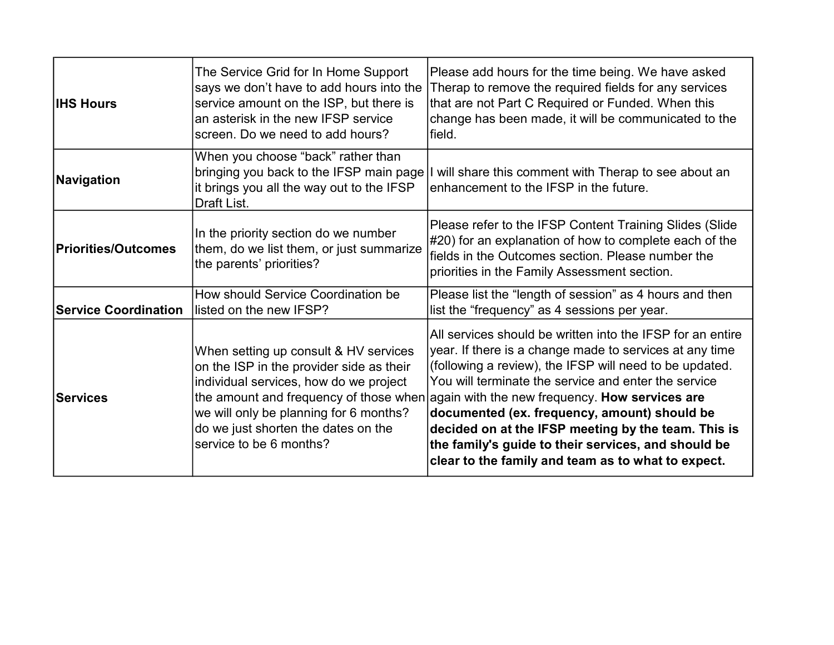| <b>IHS Hours</b>            | The Service Grid for In Home Support<br>says we don't have to add hours into the<br>service amount on the ISP, but there is<br>an asterisk in the new IFSP service<br>screen. Do we need to add hours?                                  | Please add hours for the time being. We have asked<br>Therap to remove the required fields for any services<br>that are not Part C Required or Funded. When this<br>change has been made, it will be communicated to the<br>field.                                                                                                                                                                                                                                                                                                                    |
|-----------------------------|-----------------------------------------------------------------------------------------------------------------------------------------------------------------------------------------------------------------------------------------|-------------------------------------------------------------------------------------------------------------------------------------------------------------------------------------------------------------------------------------------------------------------------------------------------------------------------------------------------------------------------------------------------------------------------------------------------------------------------------------------------------------------------------------------------------|
| Navigation                  | When you choose "back" rather than<br>bringing you back to the IFSP main page<br>it brings you all the way out to the IFSP<br>Draft List.                                                                                               | I will share this comment with Therap to see about an<br>enhancement to the IFSP in the future.                                                                                                                                                                                                                                                                                                                                                                                                                                                       |
| Priorities/Outcomes         | In the priority section do we number<br>them, do we list them, or just summarize<br>the parents' priorities?                                                                                                                            | Please refer to the IFSP Content Training Slides (Slide<br>#20) for an explanation of how to complete each of the<br>fields in the Outcomes section. Please number the<br>priorities in the Family Assessment section.                                                                                                                                                                                                                                                                                                                                |
| <b>Service Coordination</b> | How should Service Coordination be<br>listed on the new IFSP?                                                                                                                                                                           | Please list the "length of session" as 4 hours and then<br>list the "frequency" as 4 sessions per year.                                                                                                                                                                                                                                                                                                                                                                                                                                               |
| <b>Services</b>             | When setting up consult & HV services<br>on the ISP in the provider side as their<br>individual services, how do we project<br>we will only be planning for 6 months?<br>do we just shorten the dates on the<br>service to be 6 months? | All services should be written into the IFSP for an entire<br>year. If there is a change made to services at any time<br>(following a review), the IFSP will need to be updated.<br>You will terminate the service and enter the service<br>the amount and frequency of those when again with the new frequency. How services are<br>documented (ex. frequency, amount) should be<br>decided on at the IFSP meeting by the team. This is<br>the family's guide to their services, and should be<br>clear to the family and team as to what to expect. |